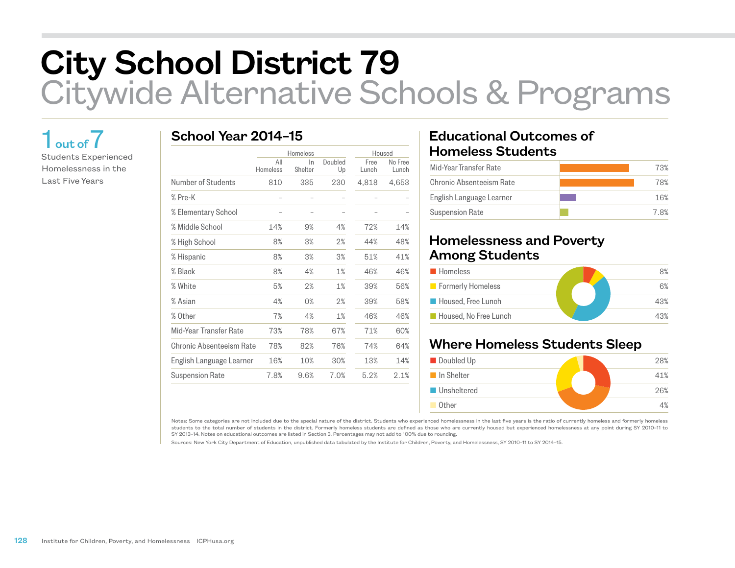# City School District 79 Citywide Alternative Schools & Programs

## 1 out of 7

Students Experienced Homelessness in the Last Five Years

#### School Year 2014–15

|                          | Homeless        |               |               | Housed        |                  |
|--------------------------|-----------------|---------------|---------------|---------------|------------------|
|                          | All<br>Homeless | In<br>Shelter | Doubled<br>Up | Free<br>Lunch | No Free<br>Lunch |
| Number of Students       | 810             | 335           | 230           | 4,818         | 4,653            |
| % Pre-K                  |                 |               |               |               |                  |
| % Elementary School      |                 |               |               |               |                  |
| % Middle School          | 14%             | 9%            | 4%            | 72%           | 14%              |
| % High School            | 8%              | 3%            | 2%            | 44%           | 48%              |
| % Hispanic               | 8%              | 3%            | 3%            | 51%           | 41%              |
| % Black                  | 8%              | 4%            | 1%            | 46%           | 46%              |
| % White                  | 5%              | 2%            | 1%            | 39%           | 56%              |
| % Asian                  | 4%              | 0%            | 2%            | 39%           | 58%              |
| % Other                  | 7%              | 4%            | 1%            | 46%           | 46%              |
| Mid-Year Transfer Rate   | 73%             | 78%           | 67%           | 71%           | 60%              |
| Chronic Absenteeism Rate | 78%             | 82%           | 76%           | 74%           | 64%              |
| English Language Learner | 16%             | 10%           | 30%           | 13%           | 14%              |
| <b>Suspension Rate</b>   | 7.8%            | 9.6%          | 7.0%          | 5.2%          | 2.1%             |

#### Educational Outcomes of Homeless Students

| Mid-Year Transfer Rate   | 73% |
|--------------------------|-----|
| Chronic Absenteeism Rate | 78% |
| English Language Learner | 16% |
| <b>Suspension Rate</b>   | 78% |

#### Homelessness and Poverty Among Students

| <b>Homeless</b>       | 8%  |
|-----------------------|-----|
| Formerly Homeless     | 6%  |
| Housed, Free Lunch    | 43% |
| Housed. No Free Lunch | 43% |

### Where Homeless Students Sleep

| ■ Doubled Up        | 28% |
|---------------------|-----|
| In Shelter          | 41% |
| <b>■Unsheltered</b> | 26% |
| Other               | 4%  |

Notes: Some categories are not included due to the special nature of the district. Students who experienced homelessness in the last five years is the ratio of currently homeless and formerly homeless students to the total number of students in the district. Formerly homeless students are defined as those who are currently housed but experienced homelessness at any point during SY 2010–11 to SY 2013–14. Notes on educational outcomes are listed in Section 3. Percentages may not add to 100% due to rounding.

Sources: New York City Department of Education, unpublished data tabulated by the Institute for Children, Poverty, and Homelessness, SY 2010–11 to SY 2014–15.